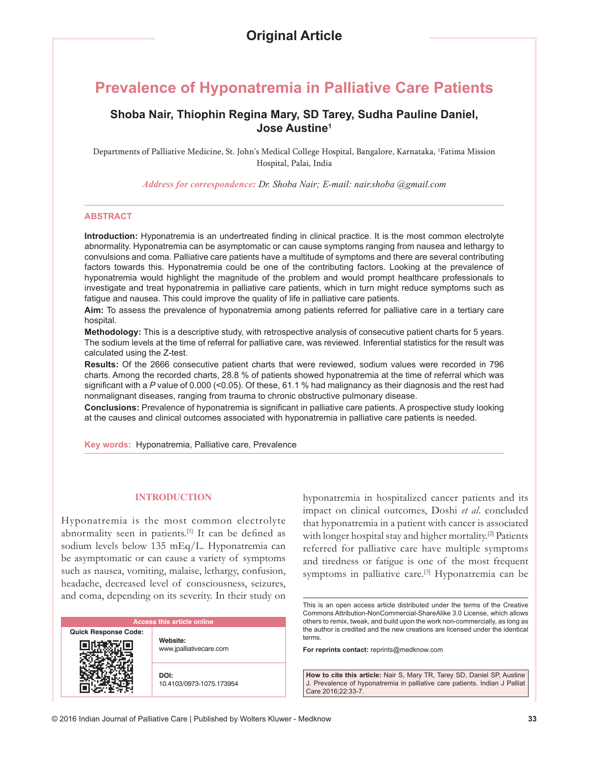# **Prevalence of Hyponatremia in Palliative Care Patients**

# **Shoba Nair, Thiophin Regina Mary, SD Tarey, Sudha Pauline Daniel, Jose Austine1**

Departments of Palliative Medicine, St. John's Medical College Hospital, Bangalore, Karnataka, 1 Fatima Mission Hospital, Palai, India

*Address for correspondence: Dr. Shoba Nair; E-mail: nair.shoba @gmail.com*

#### **ABSTRACT**

**Introduction:** Hyponatremia is an undertreated finding in clinical practice. It is the most common electrolyte abnormality. Hyponatremia can be asymptomatic or can cause symptoms ranging from nausea and lethargy to convulsions and coma. Palliative care patients have a multitude of symptoms and there are several contributing factors towards this. Hyponatremia could be one of the contributing factors. Looking at the prevalence of hyponatremia would highlight the magnitude of the problem and would prompt healthcare professionals to investigate and treat hyponatremia in palliative care patients, which in turn might reduce symptoms such as fatigue and nausea. This could improve the quality of life in palliative care patients.

**Aim:** To assess the prevalence of hyponatremia among patients referred for palliative care in a tertiary care hospital.

**Methodology:** This is a descriptive study, with retrospective analysis of consecutive patient charts for 5 years. The sodium levels at the time of referral for palliative care, was reviewed. Inferential statistics for the result was calculated using the Z-test.

**Results:** Of the 2666 consecutive patient charts that were reviewed, sodium values were recorded in 796 charts. Among the recorded charts, 28.8 % of patients showed hyponatremia at the time of referral which was significant with a P value of 0.000 (<0.05). Of these, 61.1 % had malignancy as their diagnosis and the rest had nonmalignant diseases, ranging from trauma to chronic obstructive pulmonary disease.

**Conclusions:** Prevalence of hyponatremia is significant in palliative care patients. A prospective study looking at the causes and clinical outcomes associated with hyponatremia in palliative care patients is needed.

**Key words:** Hyponatremia, Palliative care, Prevalence

### **INTRODUCTION**

Hyponatremia is the most common electrolyte abnormality seen in patients.<sup>[1]</sup> It can be defined as sodium levels below 135 mEq/L. Hyponatremia can be asymptomatic or can cause a variety of symptoms such as nausea, vomiting, malaise, lethargy, confusion, headache, decreased level of consciousness, seizures, and coma, depending on its severity. In their study on

| <b>Access this article online</b> |                                     |
|-----------------------------------|-------------------------------------|
| <b>Quick Response Code:</b>       | Website:<br>www.jpalliativecare.com |
|                                   | DOI:<br>10.4103/0973-1075.173954    |

hyponatremia in hospitalized cancer patients and its impact on clinical outcomes, Doshi *et al*. concluded that hyponatremia in a patient with cancer is associated with longer hospital stay and higher mortality.<sup>[2]</sup> Patients referred for palliative care have multiple symptoms and tiredness or fatigue is one of the most frequent symptoms in palliative care.<sup>[3]</sup> Hyponatremia can be

**For reprints contact:** reprints@medknow.com

**How to cite this article:** Nair S, Mary TR, Tarey SD, Daniel SP, Austine J. Prevalence of hyponatremia in palliative care patients. Indian J Palliat Care 2016;22:33-7.

This is an open access article distributed under the terms of the Creative Commons Attribution-NonCommercial-ShareAlike 3.0 License, which allows others to remix, tweak, and build upon the work non-commercially, as long as the author is credited and the new creations are licensed under the identical terms.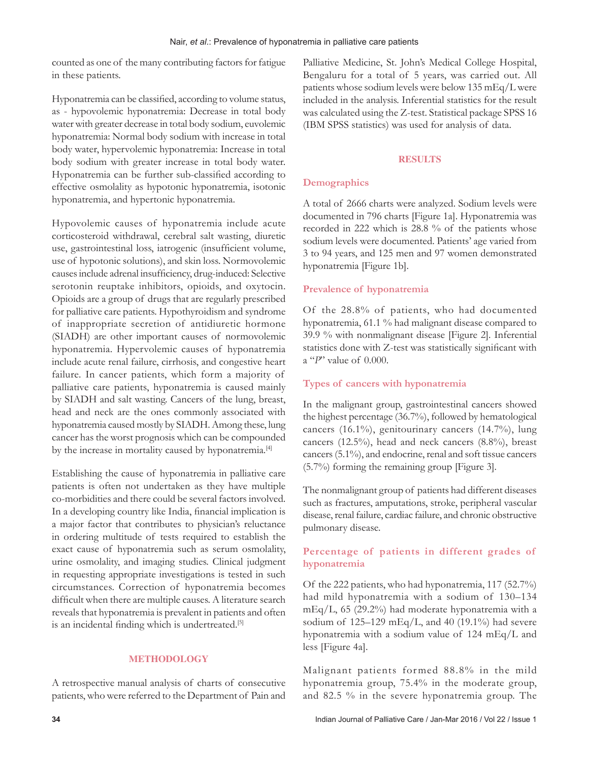counted as one of the many contributing factors for fatigue in these patients.

Hyponatremia can be classified, according to volume status, as - hypovolemic hyponatremia: Decrease in total body water with greater decrease in total body sodium, euvolemic hyponatremia: Normal body sodium with increase in total body water, hypervolemic hyponatremia: Increase in total body sodium with greater increase in total body water. Hyponatremia can be further sub-classified according to effective osmolality as hypotonic hyponatremia, isotonic hyponatremia, and hypertonic hyponatremia.

Hypovolemic causes of hyponatremia include acute corticosteroid withdrawal, cerebral salt wasting, diuretic use, gastrointestinal loss, iatrogenic (insufficient volume, use of hypotonic solutions), and skin loss. Normovolemic causes include adrenal insufficiency, drug-induced: Selective serotonin reuptake inhibitors, opioids, and oxytocin. Opioids are a group of drugs that are regularly prescribed for palliative care patients. Hypothyroidism and syndrome of inappropriate secretion of antidiuretic hormone (SIADH) are other important causes of normovolemic hyponatremia. Hypervolemic causes of hyponatremia include acute renal failure, cirrhosis, and congestive heart failure. In cancer patients, which form a majority of palliative care patients, hyponatremia is caused mainly by SIADH and salt wasting. Cancers of the lung, breast, head and neck are the ones commonly associated with hyponatremia caused mostly by SIADH. Among these, lung cancer has the worst prognosis which can be compounded by the increase in mortality caused by hyponatremia.<sup>[4]</sup>

Establishing the cause of hyponatremia in palliative care patients is often not undertaken as they have multiple co-morbidities and there could be several factors involved. In a developing country like India, financial implication is a major factor that contributes to physician's reluctance in ordering multitude of tests required to establish the exact cause of hyponatremia such as serum osmolality, urine osmolality, and imaging studies. Clinical judgment in requesting appropriate investigations is tested in such circumstances. Correction of hyponatremia becomes difficult when there are multiple causes. A literature search reveals that hyponatremia is prevalent in patients and often is an incidental finding which is undertreated.<sup>[5]</sup>

### **METHODOLOGY**

A retrospective manual analysis of charts of consecutive patients, who were referred to the Department of Pain and Palliative Medicine, St. John's Medical College Hospital, Bengaluru for a total of 5 years, was carried out. All patients whose sodium levels were below 135 mEq/L were included in the analysis. Inferential statistics for the result was calculated using the Z-test. Statistical package SPSS 16 (IBM SPSS statistics) was used for analysis of data.

### **RESULTS**

# **Demographics**

A total of 2666 charts were analyzed. Sodium levels were documented in 796 charts [Figure 1a]. Hyponatremia was recorded in 222 which is 28.8 % of the patients whose sodium levels were documented. Patients' age varied from 3 to 94 years, and 125 men and 97 women demonstrated hyponatremia [Figure 1b].

## **Prevalence of hyponatremia**

Of the 28.8% of patients, who had documented hyponatremia, 61.1 % had malignant disease compared to 39.9 % with nonmalignant disease [Figure 2]. Inferential statistics done with Z-test was statistically significant with a "*P*" value of 0.000.

# **Types of cancers with hyponatremia**

In the malignant group, gastrointestinal cancers showed the highest percentage (36.7%), followed by hematological cancers (16.1%), genitourinary cancers (14.7%), lung cancers (12.5%), head and neck cancers (8.8%), breast cancers (5.1%), and endocrine, renal and soft tissue cancers (5.7%) forming the remaining group [Figure 3].

The nonmalignant group of patients had different diseases such as fractures, amputations, stroke, peripheral vascular disease, renal failure, cardiac failure, and chronic obstructive pulmonary disease.

# **Percentage of patients in different grades of hyponatremia**

Of the 222 patients, who had hyponatremia, 117 (52.7%) had mild hyponatremia with a sodium of 130–134 mEq/L, 65 (29.2%) had moderate hyponatremia with a sodium of  $125-129$  mEq/L, and 40 (19.1%) had severe hyponatremia with a sodium value of 124 mEq/L and less [Figure 4a].

Malignant patients formed 88.8% in the mild hyponatremia group, 75.4% in the moderate group, and 82.5 % in the severe hyponatremia group. The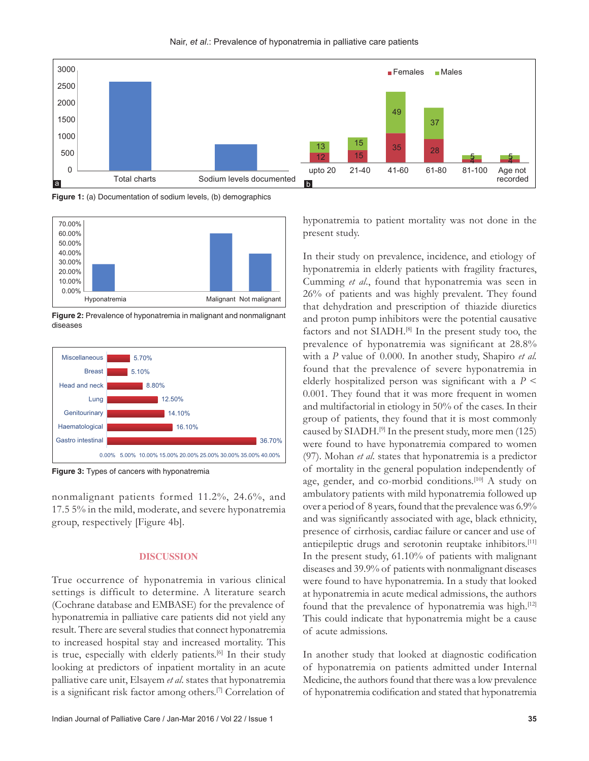

Nair, *et al*.: Prevalence of hyponatremia in palliative care patients

**Figure 1:** (a) Documentation of sodium levels, (b) demographics



**Figure 2:** Prevalence of hyponatremia in malignant and nonmalignant diseases



**Figure 3:** Types of cancers with hyponatremia

nonmalignant patients formed 11.2%, 24.6%, and 17.5 5% in the mild, moderate, and severe hyponatremia group, respectively [Figure 4b].

## **DISCUSSION**

True occurrence of hyponatremia in various clinical settings is difficult to determine. A literature search (Cochrane database and EMBASE) for the prevalence of hyponatremia in palliative care patients did not yield any result. There are several studies that connect hyponatremia to increased hospital stay and increased mortality. This is true, especially with elderly patients.<sup>[6]</sup> In their study looking at predictors of inpatient mortality in an acute palliative care unit, Elsayem *et al*. states that hyponatremia is a significant risk factor among others.[7] Correlation of hyponatremia to patient mortality was not done in the present study.

In their study on prevalence, incidence, and etiology of hyponatremia in elderly patients with fragility fractures, Cumming *et al*., found that hyponatremia was seen in 26% of patients and was highly prevalent. They found that dehydration and prescription of thiazide diuretics and proton pump inhibitors were the potential causative factors and not SIADH.<sup>[8]</sup> In the present study too, the prevalence of hyponatremia was significant at 28.8% with a *P* value of 0.000. In another study, Shapiro *et al.* found that the prevalence of severe hyponatremia in elderly hospitalized person was significant with a *P* < 0.001. They found that it was more frequent in women and multifactorial in etiology in 50% of the cases. In their group of patients, they found that it is most commonly caused by SIADH.<sup>[9]</sup> In the present study, more men  $(125)$ were found to have hyponatremia compared to women (97). Mohan *et al*. states that hyponatremia is a predictor of mortality in the general population independently of age, gender, and co-morbid conditions.<sup>[10]</sup> A study on ambulatory patients with mild hyponatremia followed up over a period of 8 years, found that the prevalence was 6.9% and was significantly associated with age, black ethnicity, presence of cirrhosis, cardiac failure or cancer and use of antiepileptic drugs and serotonin reuptake inhibitors.<sup>[11]</sup> In the present study, 61.10% of patients with malignant diseases and 39.9% of patients with nonmalignant diseases were found to have hyponatremia. In a study that looked at hyponatremia in acute medical admissions, the authors found that the prevalence of hyponatremia was high.<sup>[12]</sup> This could indicate that hyponatremia might be a cause of acute admissions.

In another study that looked at diagnostic codification of hyponatremia on patients admitted under Internal Medicine, the authors found that there was a low prevalence of hyponatremia codification and stated that hyponatremia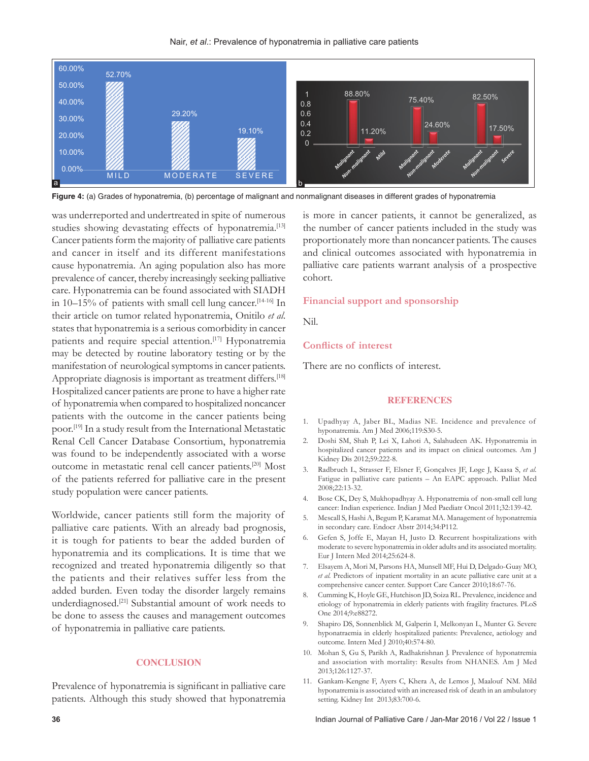



**Figure 4:** (a) Grades of hyponatremia, (b) percentage of malignant and nonmalignant diseases in different grades of hyponatremia

was underreported and undertreated in spite of numerous studies showing devastating effects of hyponatremia.<sup>[13]</sup> Cancer patients form the majority of palliative care patients and cancer in itself and its different manifestations cause hyponatremia. An aging population also has more prevalence of cancer, thereby increasingly seeking palliative care. Hyponatremia can be found associated with SIADH in 10–15% of patients with small cell lung cancer.<sup>[14-16]</sup> In their article on tumor related hyponatremia, Onitilo *et al*. states that hyponatremia is a serious comorbidity in cancer patients and require special attention.<sup>[17]</sup> Hyponatremia may be detected by routine laboratory testing or by the manifestation of neurological symptoms in cancer patients. Appropriate diagnosis is important as treatment differs.<sup>[18]</sup> Hospitalized cancer patients are prone to have a higher rate of hyponatremia when compared to hospitalized noncancer patients with the outcome in the cancer patients being poor.[19] In a study result from the International Metastatic Renal Cell Cancer Database Consortium, hyponatremia was found to be independently associated with a worse outcome in metastatic renal cell cancer patients.[20] Most of the patients referred for palliative care in the present study population were cancer patients.

Worldwide, cancer patients still form the majority of palliative care patients. With an already bad prognosis, it is tough for patients to bear the added burden of hyponatremia and its complications. It is time that we recognized and treated hyponatremia diligently so that the patients and their relatives suffer less from the added burden. Even today the disorder largely remains underdiagnosed.[21] Substantial amount of work needs to be done to assess the causes and management outcomes of hyponatremia in palliative care patients.

### **CONCLUSION**

Prevalence of hyponatremia is significant in palliative care patients. Although this study showed that hyponatremia is more in cancer patients, it cannot be generalized, as the number of cancer patients included in the study was proportionately more than noncancer patients. The causes and clinical outcomes associated with hyponatremia in palliative care patients warrant analysis of a prospective cohort.

### **Financial support and sponsorship**

Nil.

### **Conflicts of interest**

There are no conflicts of interest.

#### **REFERENCES**

- 1. Upadhyay A, Jaber BL, Madias NE. Incidence and prevalence of hyponatremia. Am J Med 2006;119:S30-5.
- 2. Doshi SM, Shah P, Lei X, Lahoti A, Salahudeen AK. Hyponatremia in hospitalized cancer patients and its impact on clinical outcomes. Am J Kidney Dis 2012;59:222-8.
- 3. Radbruch L, Strasser F, Elsner F, Gonçalves JF, Løge J, Kaasa S, *et al.* Fatigue in palliative care patients – An EAPC approach. Palliat Med 2008;22:13-32.
- 4. Bose CK, Dey S, Mukhopadhyay A. Hyponatremia of non-small cell lung cancer: Indian experience. Indian J Med Paediatr Oncol 2011;32:139-42.
- 5. Mescall S, Hashi A, Begum P, Karamat MA. Management of hyponatremia in secondary care. Endocr Abstr 2014;34:P112.
- 6. Gefen S, Joffe E, Mayan H, Justo D. Recurrent hospitalizations with moderate to severe hyponatremia in older adults and its associated mortality. Eur J Intern Med 2014;25:624-8.
- 7. Elsayem A, Mori M, Parsons HA, Munsell MF, Hui D, Delgado-Guay MO, *et al.* Predictors of inpatient mortality in an acute palliative care unit at a comprehensive cancer center. Support Care Cancer 2010;18:67-76.
- 8. Cumming K, Hoyle GE, Hutchison JD, Soiza RL. Prevalence, incidence and etiology of hyponatremia in elderly patients with fragility fractures. PLoS One 2014;9:e88272.
- 9. Shapiro DS, Sonnenblick M, Galperin I, Melkonyan L, Munter G. Severe hyponatraemia in elderly hospitalized patients: Prevalence, aetiology and outcome. Intern Med J 2010;40:574-80.
- 10. Mohan S, Gu S, Parikh A, Radhakrishnan J. Prevalence of hyponatremia and association with mortality: Results from NHANES. Am J Med 2013;126:1127-37.
- 11. Gankam-Kengne F, Ayers C, Khera A, de Lemos J, Maalouf NM. Mild hyponatremia is associated with an increased risk of death in an ambulatory setting. Kidney Int 2013;83:700-6.